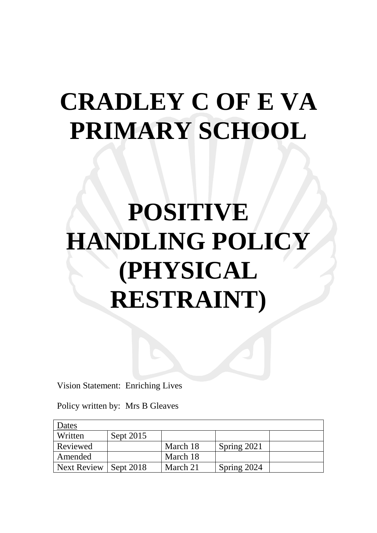## **CRADLEY C OF E VA PRIMARY SCHOOL**

# **POSITIVE HANDLING POLICY (PHYSICAL RESTRAINT)**

Vision Statement: Enriching Lives

Policy written by: Mrs B Gleaves

| Dates       |             |          |             |  |
|-------------|-------------|----------|-------------|--|
| Written     | Sept 2015   |          |             |  |
| Reviewed    |             | March 18 | Spring 2021 |  |
| Amended     |             | March 18 |             |  |
| Next Review | Sept $2018$ | March 21 | Spring 2024 |  |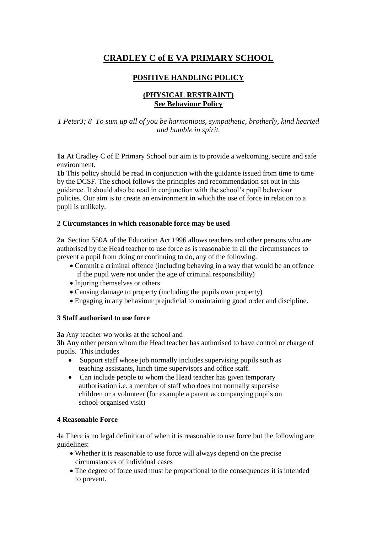### **CRADLEY C of E VA PRIMARY SCHOOL**

### **POSITIVE HANDLING POLICY**

#### **(PHYSICAL RESTRAINT) See Behaviour Policy**

#### *1 Peter3; 8 To sum up all of you be harmonious, sympathetic, brotherly, kind hearted and humble in spirit.*

**1a** At Cradley C of E Primary School our aim is to provide a welcoming, secure and safe environment.

**1b** This policy should be read in conjunction with the guidance issued from time to time by the DCSF. The school follows the principles and recommendation set out in this guidance. It should also be read in conjunction with the school's pupil behaviour policies. Our aim is to create an environment in which the use of force in relation to a pupil is unlikely.

#### **2 Circumstances in which reasonable force may be used**

**2a** Section 550A of the Education Act 1996 allows teachers and other persons who are authorised by the Head teacher to use force as is reasonable in all the circumstances to prevent a pupil from doing or continuing to do, any of the following.

- Commit a criminal offence (including behaving in a way that would be an offence if the pupil were not under the age of criminal responsibility)
- Injuring themselves or others
- Causing damage to property (including the pupils own property)
- Engaging in any behaviour prejudicial to maintaining good order and discipline.

#### **3 Staff authorised to use force**

**3a** Any teacher wo works at the school and

**3b** Any other person whom the Head teacher has authorised to have control or charge of pupils. This includes

- Support staff whose job normally includes supervising pupils such as teaching assistants, lunch time supervisors and office staff.
- Can include people to whom the Head teacher has given temporary authorisation i.e. a member of staff who does not normally supervise children or a volunteer (for example a parent accompanying pupils on school-organised visit)

#### **4 Reasonable Force**

4a There is no legal definition of when it is reasonable to use force but the following are guidelines:

- Whether it is reasonable to use force will always depend on the precise circumstances of individual cases
- The degree of force used must be proportional to the consequences it is intended to prevent.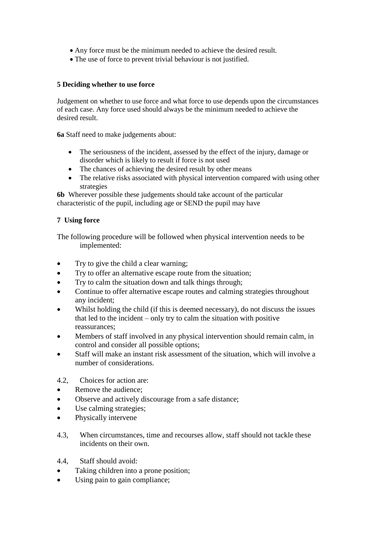- Any force must be the minimum needed to achieve the desired result.
- The use of force to prevent trivial behaviour is not justified.

#### **5 Deciding whether to use force**

Judgement on whether to use force and what force to use depends upon the circumstances of each case. Any force used should always be the minimum needed to achieve the desired result.

**6a** Staff need to make judgements about:

- The seriousness of the incident, assessed by the effect of the injury, damage or disorder which is likely to result if force is not used
- The chances of achieving the desired result by other means
- The relative risks associated with physical intervention compared with using other strategies

**6b** Wherever possible these judgements should take account of the particular characteristic of the pupil, including age or SEND the pupil may have

#### **7 Using force**

The following procedure will be followed when physical intervention needs to be implemented:

- Try to give the child a clear warning;
- Try to offer an alternative escape route from the situation;
- Try to calm the situation down and talk things through;
- Continue to offer alternative escape routes and calming strategies throughout any incident;
- Whilst holding the child (if this is deemed necessary), do not discuss the issues that led to the incident – only try to calm the situation with positive reassurances;
- Members of staff involved in any physical intervention should remain calm, in control and consider all possible options;
- Staff will make an instant risk assessment of the situation, which will involve a number of considerations.
- 4.2, Choices for action are:
- Remove the audience;
- Observe and actively discourage from a safe distance;
- Use calming strategies;
- Physically intervene
- 4.3, When circumstances, time and recourses allow, staff should not tackle these incidents on their own.
- 4.4, Staff should avoid:
- Taking children into a prone position;
- Using pain to gain compliance;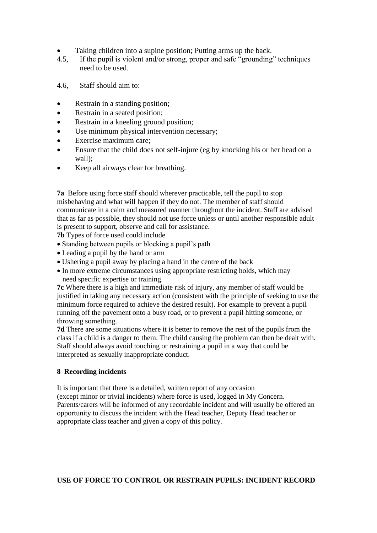- Taking children into a supine position; Putting arms up the back.
- 4.5, If the pupil is violent and/or strong, proper and safe "grounding" techniques need to be used.
- 4.6, Staff should aim to:
- Restrain in a standing position;
- Restrain in a seated position;
- Restrain in a kneeling ground position;
- Use minimum physical intervention necessary;
- Exercise maximum care;
- Ensure that the child does not self-injure (eg by knocking his or her head on a wall);
- Keep all airways clear for breathing.

**7a** Before using force staff should wherever practicable, tell the pupil to stop misbehaving and what will happen if they do not. The member of staff should communicate in a calm and measured manner throughout the incident. Staff are advised that as far as possible, they should not use force unless or until another responsible adult is present to support, observe and call for assistance.

**7b** Types of force used could include

- Standing between pupils or blocking a pupil's path
- Leading a pupil by the hand or arm
- Ushering a pupil away by placing a hand in the centre of the back
- In more extreme circumstances using appropriate restricting holds, which may need specific expertise or training.

**7c** Where there is a high and immediate risk of injury, any member of staff would be justified in taking any necessary action (consistent with the principle of seeking to use the minimum force required to achieve the desired result). For example to prevent a pupil running off the pavement onto a busy road, or to prevent a pupil hitting someone, or throwing something.

**7d** There are some situations where it is better to remove the rest of the pupils from the class if a child is a danger to them. The child causing the problem can then be dealt with. Staff should always avoid touching or restraining a pupil in a way that could be interpreted as sexually inappropriate conduct.

#### **8 Recording incidents**

It is important that there is a detailed, written report of any occasion (except minor or trivial incidents) where force is used, logged in My Concern. Parents/carers will be informed of any recordable incident and will usually be offered an opportunity to discuss the incident with the Head teacher, Deputy Head teacher or appropriate class teacher and given a copy of this policy.

#### **USE OF FORCE TO CONTROL OR RESTRAIN PUPILS: INCIDENT RECORD**